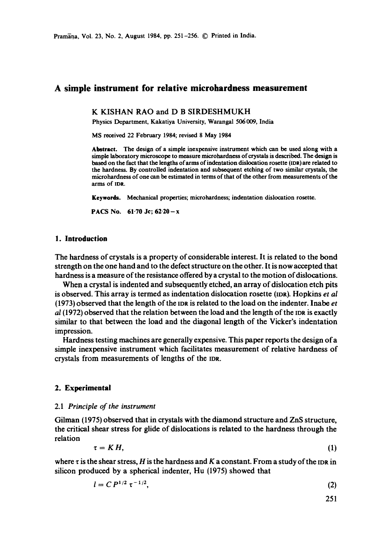# **A simple instrument for relative microhardness measurement**

**K** KISHAN RAO and **D B** SIRDESHMUKH

Physics Department, Kakatiya University, Warangal 506 009, India

MS received 22 February 1984; revised 8 May 1984

Abstract. The design of a simple inexpensive instrument which can be used along with a simple laboratory microscope to measure microhardness of crystals is described. The design is based on the fact that the lengths of arms of indentation dislocation rosette (IDa) are related to the hardness. By controlled indentation and subsequent etching of two similar crystals, the microhardness of one can be estimated in terms of that of the other from measurements of the arms of IDR.

Keywords. Mechanical properties; microhardness; indentation dislocation rosette.

PACS No.  $61.70$  Jc;  $62.20 - x$ 

### **1. Introduction**

The hardness of crystals is a property of considerable interest. It is related to the bond strength on the one hand and to the defect structure on the other. It is now accepted that hardness is a measure of the resistance offered by a crystal to the motion of dislocations.

When a crystal is indented and subsequently etched, an array of dislocation etch pits is observed. This array is termed as indentation dislocation rosette (IDR). Hopkins *et al* (1973) observed that the length of the mR is related to the load on the indenter. Inabe *et al* (1972) observed that the relation between the load and the length of the IDR is exactly similar to that between the load and the diagonal length of the Vicker's indentation impression.

Hardness testing machines are generally expensive. This paper reports the design of a simple inexpensive instrument which facilitates measurement of relative hardness of crystals from measurements of lengths of the mR.

### **2. Experimental**

#### 2.1 *Principle of the instrument*

Gilman (1975) observed that in crystals with the diamond structure and ZnS structure, the critical shear stress for glide of dislocations is related to the hardness through the relation

$$
\tau = KH, \tag{1}
$$

where  $\tau$  is the shear stress, H is the hardness and K a constant. From a study of the IDR in silicon produced by a spherical indenter, Hu (1975) showed that

$$
l = C P^{1/2} \tau^{-1/2}, \tag{2}
$$

251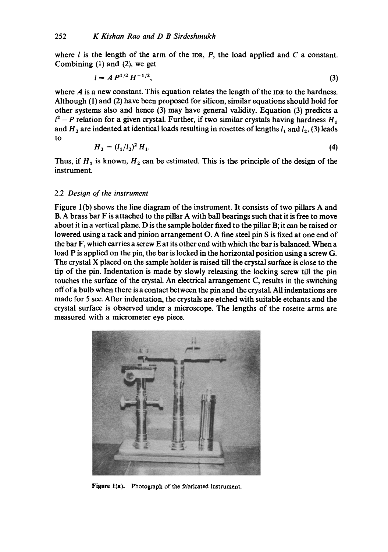where  $l$  is the length of the arm of the IDR,  $P$ , the load applied and  $C$  a constant. Combining (1) and (2), we get

$$
l = A P^{1/2} H^{-1/2}, \tag{3}
$$

where  $\vec{A}$  is a new constant. This equation relates the length of the IDR to the hardness. Although (1) and (2) have been proposed for silicon, similar equations should hold for other systems also and hence (3) may have general validity. Equation (3) predicts a  $1^2 - P$  relation for a given crystal. Further, if two similar crystals having hardness  $H_1$ and  $H_2$  are indented at identical loads resulting in rosettes of lengths  $l_1$  and  $l_2$ , (3) leads to

$$
H_2 = (l_1/l_2)^2 H_1. \tag{4}
$$

Thus, if  $H_1$  is known,  $H_2$  can be estimated. This is the principle of the design of the instrument.

### *2.2 Design of the instrument*

Figure 1(b) shows the line diagram of the instrument. It consists of two pillars A and B. A brass bar F is attached to the pillar A with ball bearings such that it is free to move about it in a vertical plane. D is the sample holder fixed to the pillar B; it can be raised or lowered using a rack and pinion arrangement O. A fine steel pin S is fixed at one end of the bar F, which carries a screw E at its other end with which the bar is balanced. When a load P is applied on the pin, the bar is locked in the horizontal position using a screw G. The crystal X placed on the sample holder is raised till the crystal surface is close to the tip of the pin. Indentation is made by slowly releasing the locking screw till the pin touches the surface of the crystal. An electrical arrangement C, results in the switching offofa bulb when there is a contact between the pin and the crystal. All indentations are made for 5 sec. After indentation, the crystals are etched with suitable etchants and the crystal surface is observed under a microscope. The lengths of the rosette arms are measured with a micrometer eye piece.



Figure l(a). Photograph of the fabricated instrument.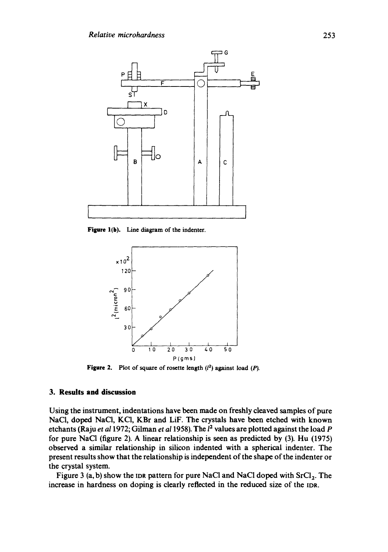

Figure 1(b). Line diagram of the indenter.



**Figure 2.** Plot of square of rosette length  $(l^2)$  against load  $(P)$ .

## **3. Results and discussion**

Using the instrument, indentations have been made on freshly cleaved samples of pure NaCl, doped NaCl, KC1, KBr and LiF. The crystals have been etched with known etchants (Raju *et a11972;* Gilman *et a11958).* The 12 values are plotted against the load P for pure NaCl (figure 2). A linear relationship is seen as predicted by (3). Hu (1975) observed a similar relationship in silicon indented with a spherical indenter. The present results show that the relationship is independent of the shape of the indenter or the crystal system.

Figure 3 (a, b) show the IDR pattern for pure NaCl and NaCl doped with  $SrCl<sub>2</sub>$ . The increase in hardness on doping is clearly reflected in the reduced size of the IDR.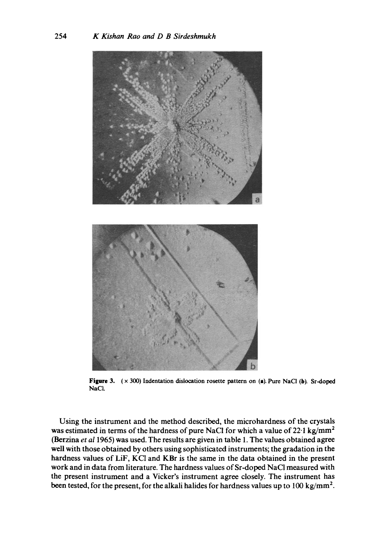

**Figure** 3. ( x 300) Indentation dislocation rosette pattern on (a). Pure NaCI (b). Sr-doped NaCI.

Using the instrument and the method described, the microhardness of the crystals was estimated in terms of the hardness of pure NaCl for which a value of  $22.1 \text{ kg/mm}^2$ (Berzina *et a11965)* was used. The results are given in table 1. The values obtained agree well with those obtained by others using sophisticated instruments; the gradation in the hardness values of LiF, KC1 and KBr is the same in the data obtained in the present work and in data from literature. The hardness values of Sr-doped NaCI measured with the present instrument and a Vicker's instrument agree closely. The instrument has been tested, for the present, for the alkali halides for hardness values up to 100 kg/mm<sup>2</sup>.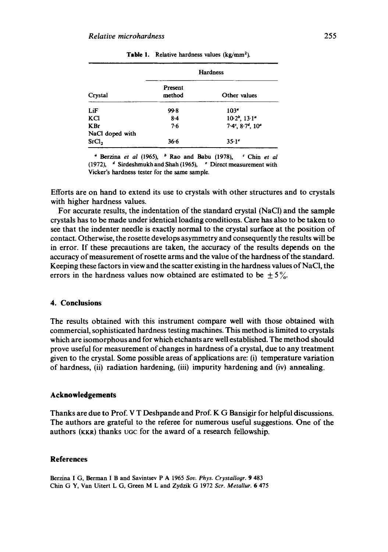| Crystal                       | <b>Hardness</b>   |                            |
|-------------------------------|-------------------|----------------------------|
|                               | Present<br>method | Other values               |
| LiF                           | 99.8              | 103 <sup>o</sup>           |
| KCI                           | $8 - 4$           | $10.2b$ , $13.1a$          |
| <b>KBr</b><br>NaCl doped with | 7.6               | $7.4^c$ , $8.7^d$ , $10^a$ |
| SrCl <sub>2</sub>             | 36.6              | $35.1^e$                   |

**Table** 1. Relative hardness values (kg/mm2).

Berzina *et al* (1965), b Rao and Babu (1978), " Chin *et al*  (1972),  $4$  Sirdeshmukh and Shah (1965),  $4$  Direct measurement with Vicker's hardness tester for the same sample.

Efforts are on hand to extend its use to crystals with other structures and to crystals with higher hardness values.

For accurate results, the indentation of the standard crystal (NaC1) and the sample crystals has to be made under identical loading conditions. Care has also to be taken to see that the indenter needle is exactly normal to the crystal surface at the position of contact. Otherwise, the rosette develops asymmetry and consequently the results will be in error. If these precautions are taken, the accuracy of the results depends on the accuracy of measurement of rosette arms and the value of the hardness of the standard. Keeping these factors in view and the scatter existing in the hardness values of NaCI, the errors in the hardness values now obtained are estimated to be  $\pm 5\%$ .

## **4. Conclusions**

The results obtained with this instrument compare well with those obtained with commercial, sophisticated hardness testing machines. This method is limited to crystals which are isomorphous and for which etchants are well established. The method should prove useful for measurement of changes in hardness of a crystal, due to any treatment given to the crystal. Some possible areas of applications are: (i) temperature variation of hardness, (ii) radiation hardening, (iii) impurity hardening and (iv) annealing.

### **Acknowledgements**

Thanks are due to Prof. V T Deshpande and Prof. K G Bansigir for helpful discussions. The authors are grateful to the referee for numerous useful suggestions. One of the authors (KKR) thanks ugc for the award of a research fellowship.

## **References**

Berzina I G, Berman I B and Savintsev P A 1965 *Soy. Phys. Crystallogr.* 9 483 Chin G Y, Van Uitert L G, Green M L and Zydzik G 1972 *Scr. Metallur.* 6 475